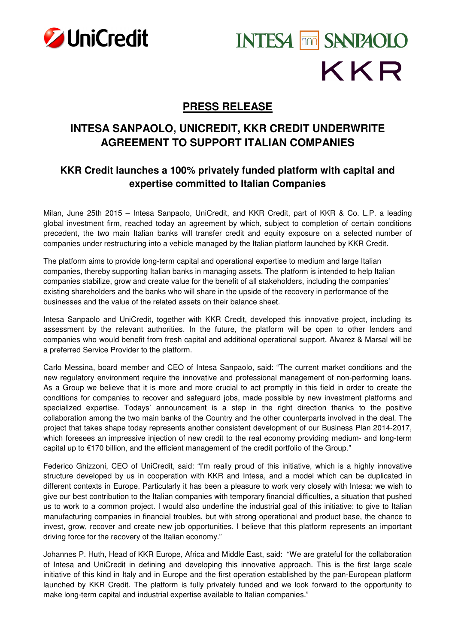

# **INTESA MM SANPAOLO** KKR

# **PRESS RELEASE**

## **INTESA SANPAOLO, UNICREDIT, KKR CREDIT UNDERWRITE AGREEMENT TO SUPPORT ITALIAN COMPANIES**

## **KKR Credit launches a 100% privately funded platform with capital and expertise committed to Italian Companies**

Milan, June 25th 2015 – Intesa Sanpaolo, UniCredit, and KKR Credit, part of KKR & Co. L.P. a leading global investment firm, reached today an agreement by which, subject to completion of certain conditions precedent, the two main Italian banks will transfer credit and equity exposure on a selected number of companies under restructuring into a vehicle managed by the Italian platform launched by KKR Credit.

The platform aims to provide long-term capital and operational expertise to medium and large Italian companies, thereby supporting Italian banks in managing assets. The platform is intended to help Italian companies stabilize, grow and create value for the benefit of all stakeholders, including the companies' existing shareholders and the banks who will share in the upside of the recovery in performance of the businesses and the value of the related assets on their balance sheet.

Intesa Sanpaolo and UniCredit, together with KKR Credit, developed this innovative project, including its assessment by the relevant authorities. In the future, the platform will be open to other lenders and companies who would benefit from fresh capital and additional operational support. Alvarez & Marsal will be a preferred Service Provider to the platform.

Carlo Messina, board member and CEO of Intesa Sanpaolo, said: "The current market conditions and the new regulatory environment require the innovative and professional management of non-performing loans. As a Group we believe that it is more and more crucial to act promptly in this field in order to create the conditions for companies to recover and safeguard jobs, made possible by new investment platforms and specialized expertise. Todays' announcement is a step in the right direction thanks to the positive collaboration among the two main banks of the Country and the other counterparts involved in the deal. The project that takes shape today represents another consistent development of our Business Plan 2014-2017, which foresees an impressive injection of new credit to the real economy providing medium- and long-term capital up to €170 billion, and the efficient management of the credit portfolio of the Group."

Federico Ghizzoni, CEO of UniCredit, said: "I'm really proud of this initiative, which is a highly innovative structure developed by us in cooperation with KKR and Intesa, and a model which can be duplicated in different contexts in Europe. Particularly it has been a pleasure to work very closely with Intesa: we wish to give our best contribution to the Italian companies with temporary financial difficulties, a situation that pushed us to work to a common project. I would also underline the industrial goal of this initiative: to give to Italian manufacturing companies in financial troubles, but with strong operational and product base, the chance to invest, grow, recover and create new job opportunities. I believe that this platform represents an important driving force for the recovery of the Italian economy."

Johannes P. Huth, Head of KKR Europe, Africa and Middle East, said: "We are grateful for the collaboration of Intesa and UniCredit in defining and developing this innovative approach. This is the first large scale initiative of this kind in Italy and in Europe and the first operation established by the pan-European platform launched by KKR Credit. The platform is fully privately funded and we look forward to the opportunity to make long-term capital and industrial expertise available to Italian companies."